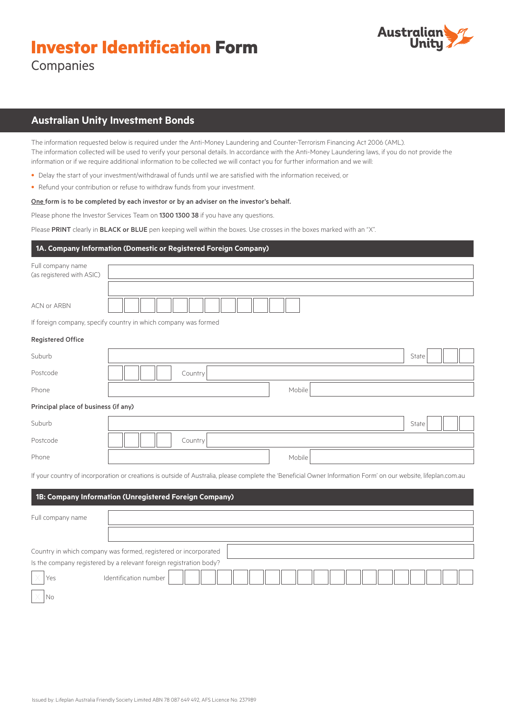# **Investor Identification Form**



Companies

# **Australian Unity Investment Bonds**

The information requested below is required under the Anti-Money Laundering and Counter-Terrorism Financing Act 2006 (AML). The information collected will be used to verify your personal details. In accordance with the Anti-Money Laundering laws, if you do not provide the information or if we require additional information to be collected we will contact you for further information and we will:

- Delay the start of your investment/withdrawal of funds until we are satisfied with the information received, or
- Refund your contribution or refuse to withdraw funds from your investment.

#### One form is to be completed by each investor or by an adviser on the investor's behalf.

Please phone the Investor Services Team on 1300 1300 38 if you have any questions.

Please PRINT clearly in BLACK or BLUE pen keeping well within the boxes. Use crosses in the boxes marked with an "X".

# **1A. Company Information (Domestic or Registered Foreign Company)**

| Full company name<br>(as registered with ASIC) |                                                                                                                                                                |       |
|------------------------------------------------|----------------------------------------------------------------------------------------------------------------------------------------------------------------|-------|
|                                                |                                                                                                                                                                |       |
| <b>ACN or ARBN</b>                             |                                                                                                                                                                |       |
|                                                | If foreign company, specify country in which company was formed                                                                                                |       |
| <b>Registered Office</b>                       |                                                                                                                                                                |       |
| Suburb                                         |                                                                                                                                                                | State |
| Postcode                                       | Country                                                                                                                                                        |       |
| Phone                                          | Mobile                                                                                                                                                         |       |
| Principal place of business (if any)           |                                                                                                                                                                |       |
| Suburb                                         |                                                                                                                                                                | State |
| Postcode                                       | Country                                                                                                                                                        |       |
| Phone                                          | Mobile                                                                                                                                                         |       |
|                                                | If your country of incorporation or creations is outside of Australia, please complete the 'Beneficial Owner Information Form' on our website, lifeplan.com.au |       |
|                                                | 1B: Company Information (Unregistered Foreign Company)                                                                                                         |       |
| Full company name                              |                                                                                                                                                                |       |
|                                                |                                                                                                                                                                |       |
|                                                | Country in which company was formed, registered or incorporated                                                                                                |       |
|                                                | Is the company registered by a relevant foreign registration body?                                                                                             |       |
| Yes                                            | Identification number                                                                                                                                          |       |

 $\times$  No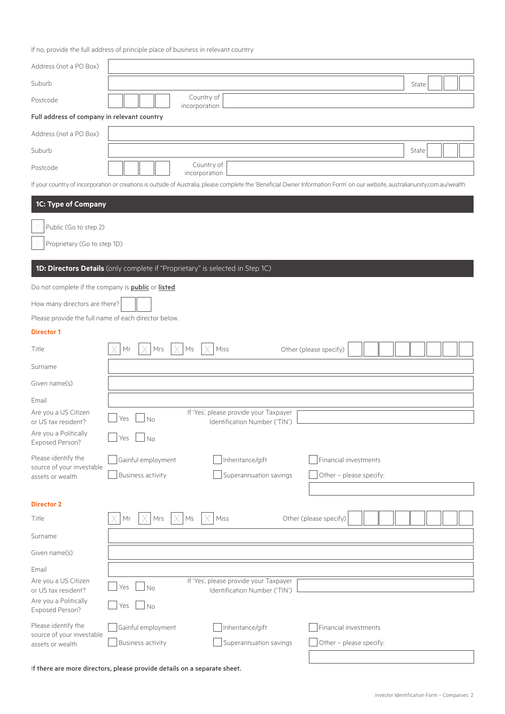|                                                            | If no, provide the full address of principle place of business in relevant country                                                                                                            |
|------------------------------------------------------------|-----------------------------------------------------------------------------------------------------------------------------------------------------------------------------------------------|
| Address (not a PO Box)                                     |                                                                                                                                                                                               |
| Suburb                                                     | State                                                                                                                                                                                         |
| Postcode                                                   | Country of<br>incorporation                                                                                                                                                                   |
| Full address of company in relevant country                |                                                                                                                                                                                               |
| Address (not a PO Box)                                     |                                                                                                                                                                                               |
| Suburb                                                     | State                                                                                                                                                                                         |
| Postcode                                                   | Country of                                                                                                                                                                                    |
|                                                            | incorporation<br>If your country of incorporation or creations is outside of Australia, please complete the 'Beneficial Owner Information Form' on our website, australianunity.com.au/wealth |
| 1C: Type of Company                                        |                                                                                                                                                                                               |
|                                                            |                                                                                                                                                                                               |
| Public (Go to step 2)                                      |                                                                                                                                                                                               |
| Proprietary (Go to step 1D)                                |                                                                                                                                                                                               |
|                                                            | 1D: Directors Details (only complete if "Proprietary" is selected in Step 1C)                                                                                                                 |
| Do not complete if the company is <b>public</b> or listed. |                                                                                                                                                                                               |
| How many directors are there?                              |                                                                                                                                                                                               |
| Please provide the full name of each director below.       |                                                                                                                                                                                               |
| <b>Director 1</b>                                          |                                                                                                                                                                                               |
| Title                                                      | Other (please specify)<br>Мr<br>Mrs<br>Ms<br>Miss                                                                                                                                             |
| Surname                                                    |                                                                                                                                                                                               |
| Given name(s)                                              |                                                                                                                                                                                               |
| Email                                                      |                                                                                                                                                                                               |
| Are you a US Citizen<br>or US tax resident?                | If 'Yes', please provide your Taxpayer<br>Yes<br>No<br>Identification Number ('TIN')                                                                                                          |
| Are you a Politically                                      | Yes<br><b>No</b>                                                                                                                                                                              |
| Exposed Person?                                            |                                                                                                                                                                                               |
| Please identify the<br>source of your investable           | Inheritance/gift<br>Gainful employment<br>Financial investments                                                                                                                               |
| assets or wealth                                           | <b>Business activity</b><br>Superannuation savings<br>Other - please specify:                                                                                                                 |
| <b>Director 2</b>                                          |                                                                                                                                                                                               |
| Title                                                      | Miss<br>Mr<br>Other (please specify)<br>Mrs<br>Ms                                                                                                                                             |
| Surname                                                    |                                                                                                                                                                                               |
| Given name(s)                                              |                                                                                                                                                                                               |
| Email                                                      |                                                                                                                                                                                               |
| Are you a US Citizen                                       | If 'Yes', please provide your Taxpayer                                                                                                                                                        |
| or US tax resident?<br>Are you a Politically               | Yes<br>No<br>Identification Number ('TIN')                                                                                                                                                    |
| Exposed Person?                                            | No<br>Yes                                                                                                                                                                                     |
| Please identify the<br>source of your investable           | Gainful employment<br>Inheritance/gift<br>Financial investments                                                                                                                               |

Business activity Superannuation savings and Other – please specify:

If there are more directors, please provide details on a separate sheet.

assets or wealth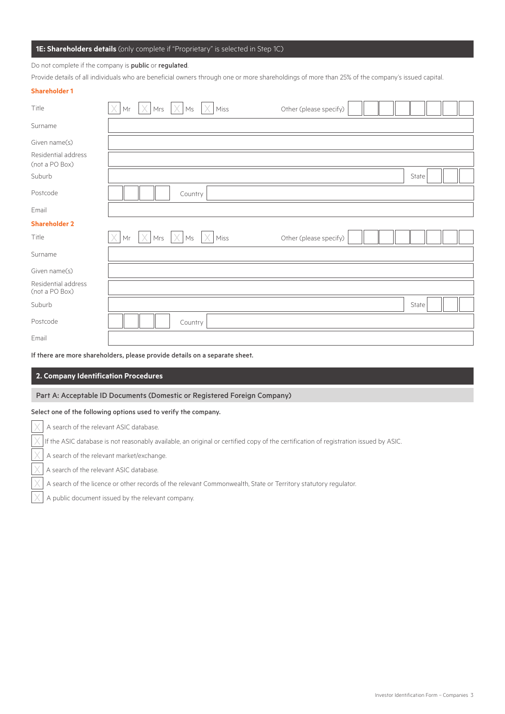# **1E: Shareholders details** (only complete if "Proprietary" is selected in Step 1C)

Do not complete if the company is **public** or **regulated**.

Provide details of all individuals who are beneficial owners through one or more shareholdings of more than 25% of the company's issued capital.

| <b>Shareholder 1</b>                  |                                                                                                    |                        |
|---------------------------------------|----------------------------------------------------------------------------------------------------|------------------------|
| Title                                 | $ Mr  \times  Mrs  \times  Ms  \times  $<br>$\times$<br>Miss                                       | Other (please specify) |
| Surname                               |                                                                                                    |                        |
| Given name(s)                         |                                                                                                    |                        |
| Residential address<br>(not a PO Box) |                                                                                                    |                        |
| Suburb                                |                                                                                                    | State                  |
| Postcode                              | Country                                                                                            |                        |
| Email                                 |                                                                                                    |                        |
| <b>Shareholder 2</b>                  |                                                                                                    |                        |
| Title                                 | X<br>X<br>Mr<br>Mrs<br>$\mathsf{M}\mathsf{s}$<br>Miss                                              | Other (please specify) |
| Surname                               |                                                                                                    |                        |
| Given name(s)                         |                                                                                                    |                        |
| Residential address<br>(not a PO Box) |                                                                                                    |                        |
| Suburb                                |                                                                                                    | State                  |
| Postcode                              | Country                                                                                            |                        |
| Email                                 |                                                                                                    |                        |
|                                       | The above the company observed of the complete consecutive distribution of the company of the same |                        |

If there are more shareholders, please provide details on a separate sheet.

#### **2. Company Identification Procedures**

Part A: Acceptable ID Documents (Domestic or Registered Foreign Company)

#### Select one of the following options used to verify the company.

A search of the relevant ASIC database.

 $\times$  If the ASIC database is not reasonably available, an original or certified copy of the certification of registration issued by ASIC.

A search of the relevant market/exchange.

A search of the relevant ASIC database.

A search of the licence or other records of the relevant Commonwealth, State or Territory statutory regulator.

A public document issued by the relevant company.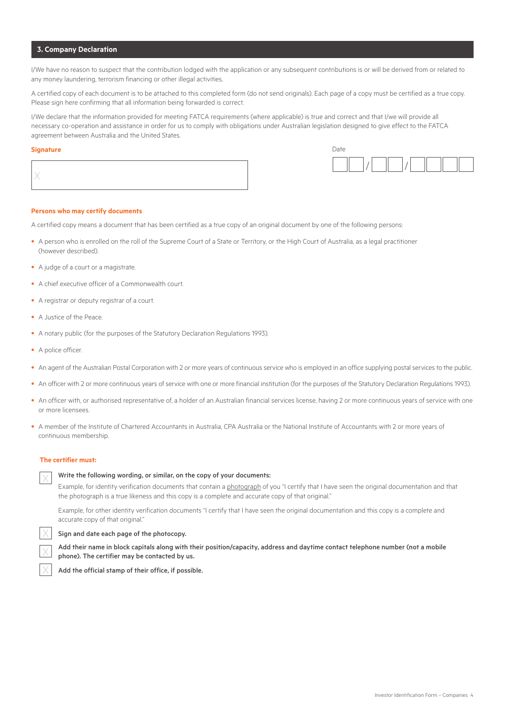### **3. Company Declaration**

I/We have no reason to suspect that the contribution lodged with the application or any subsequent contributions is or will be derived from or related to any money laundering, terrorism financing or other illegal activities.

A certified copy of each document is to be attached to this completed form (do not send originals). Each page of a copy must be certified as a true copy. Please sign here confirming that all information being forwarded is correct.

I/We declare that the information provided for meeting FATCA requirements (where applicable) is true and correct and that I/we will provide all necessary co-operation and assistance in order for us to comply with obligations under Australian legislation designed to give effect to the FATCA agreement between Australia and the United States.

#### **Signature** Date

|--|



#### **Persons who may certify documents**

A certified copy means a document that has been certified as a true copy of an original document by one of the following persons:

- A person who is enrolled on the roll of the Supreme Court of a State or Territory, or the High Court of Australia, as a legal practitioner (however described).
- A judge of a court or a magistrate.
- A chief executive officer of a Commonwealth court.
- A registrar or deputy registrar of a court.
- A Justice of the Peace.
- A notary public (for the purposes of the Statutory Declaration Regulations 1993).
- A police officer.
- An agent of the Australian Postal Corporation with 2 or more years of continuous service who is employed in an office supplying postal services to the public.
- An officer with 2 or more continuous years of service with one or more financial institution (for the purposes of the Statutory Declaration Regulations 1993).
- An officer with, or authorised representative of, a holder of an Australian financial services license, having 2 or more continuous years of service with one or more licensees.
- A member of the Institute of Chartered Accountants in Australia, CPA Australia or the National Institute of Accountants with 2 or more years of continuous membership.

#### **The certifier must:**

#### Write the following wording, or similar, on the copy of your documents:

Example, for identity verification documents that contain a photograph of you "I certify that I have seen the original documentation and that the photograph is a true likeness and this copy is a complete and accurate copy of that original."

Example, for other identity verification documents "I certify that I have seen the original documentation and this copy is a complete and accurate copy of that original."

#### Sign and date each page of the photocopy.



Add their name in block capitals along with their position/capacity, address and daytime contact telephone number (not a mobile phone). The certifier may be contacted by us.

Add the official stamp of their office, if possible.